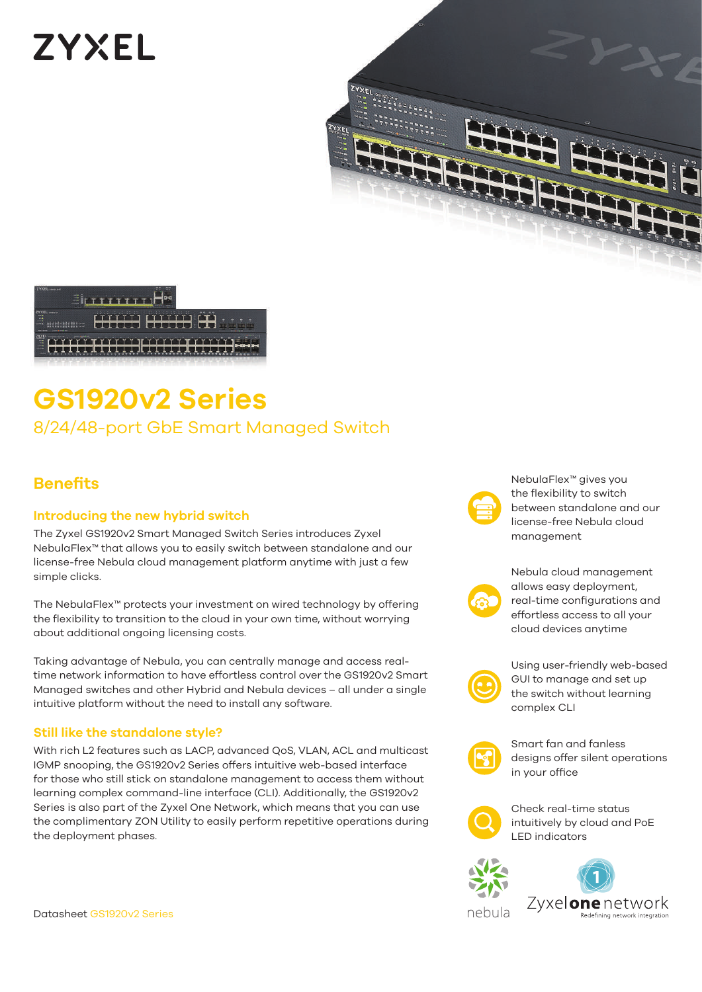# **ZYXEL**



## **GS1920v2 Series** 8/24/48-port GbE Smart Managed Switch

## **Benefits**

#### **Introducing the new hybrid switch**

The Zyxel GS1920v2 Smart Managed Switch Series introduces Zyxel NebulaFlex™ that allows you to easily switch between standalone and our license-free Nebula cloud management platform anytime with just a few simple clicks.

The NebulaFlex™ protects your investment on wired technology by offering the flexibility to transition to the cloud in your own time, without worrying about additional ongoing licensing costs.

Taking advantage of Nebula, you can centrally manage and access realtime network information to have effortless control over the GS1920v2 Smart Managed switches and other Hybrid and Nebula devices – all under a single intuitive platform without the need to install any software.

#### **Still like the standalone style?**

With rich L2 features such as LACP, advanced QoS, VLAN, ACL and multicast IGMP snooping, the GS1920v2 Series offers intuitive web-based interface for those who still stick on standalone management to access them without learning complex command-line interface (CLI). Additionally, the GS1920v2 Series is also part of the Zyxel One Network, which means that you can use the complimentary ZON Utility to easily perform repetitive operations during the deployment phases.

NebulaFlex™ gives you the flexibility to switch between standalone and our license-free Nebula cloud management



Nebula cloud management allows easy deployment, real-time configurations and effortless access to all your cloud devices anytime



Using user-friendly web-based GUI to manage and set up the switch without learning complex CLI



Smart fan and fanless designs offer silent operations in your office



Check real-time status intuitively by cloud and PoE LED indicators



Datasheet GS1920v2 Series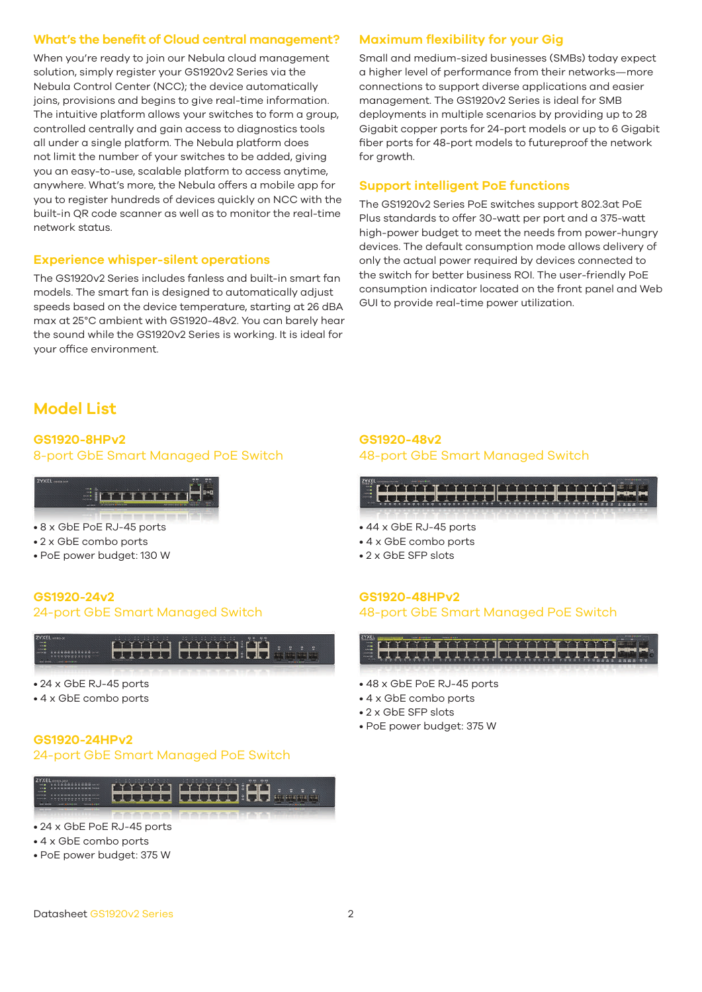#### **What's the benefit of Cloud central management?**

When you're ready to join our Nebula cloud management solution, simply register your GS1920v2 Series via the Nebula Control Center (NCC); the device automatically joins, provisions and begins to give real-time information. The intuitive platform allows your switches to form a group, controlled centrally and gain access to diagnostics tools all under a single platform. The Nebula platform does not limit the number of your switches to be added, giving you an easy-to-use, scalable platform to access anytime, anywhere. What's more, the Nebula offers a mobile app for you to register hundreds of devices quickly on NCC with the built-in QR code scanner as well as to monitor the real-time network status.

#### **Experience whisper-silent operations**

The GS1920v2 Series includes fanless and built-in smart fan models. The smart fan is designed to automatically adjust speeds based on the device temperature, starting at 26 dBA max at 25°C ambient with GS1920-48v2. You can barely hear the sound while the GS1920v2 Series is working. It is ideal for your office environment.

#### **Maximum flexibility for your Gig**

Small and medium-sized businesses (SMBs) today expect a higher level of performance from their networks—more connections to support diverse applications and easier management. The GS1920v2 Series is ideal for SMB deployments in multiple scenarios by providing up to 28 Gigabit copper ports for 24-port models or up to 6 Gigabit fiber ports for 48-port models to futureproof the network for growth.

#### **Support intelligent PoE functions**

The GS1920v2 Series PoE switches support 802.3at PoE Plus standards to offer 30-watt per port and a 375-watt high-power budget to meet the needs from power-hungry devices. The default consumption mode allows delivery of only the actual power required by devices connected to the switch for better business ROI. The user-friendly PoE consumption indicator located on the front panel and Web GUI to provide real-time power utilization.

## **Model List**

#### **GS1920-8HPv2** 8-port GbE Smart Managed PoE Switch



- 8 x GbE PoE RJ-45 ports
- 2 x GbE combo ports
- PoE power budget: 130 W

#### **GS1920-24v2** 24-port GbE Smart Managed Switch



- 24 x GbE RJ-45 ports
- 4 x GbE combo ports

#### **GS1920-24HPv2**

#### 24-port GbE Smart Managed PoE Switch



- 24 x GbE PoE RJ-45 ports
- 4 x GbE combo ports
- PoE power budget: 375 W

#### **GS1920-48v2** 48-port GbE Smart Managed Switch





- 48 x GbE PoE RJ-45 ports
- 4 x GbE combo ports
- 2 x GbE SFP slots
- PoE power budget: 375 W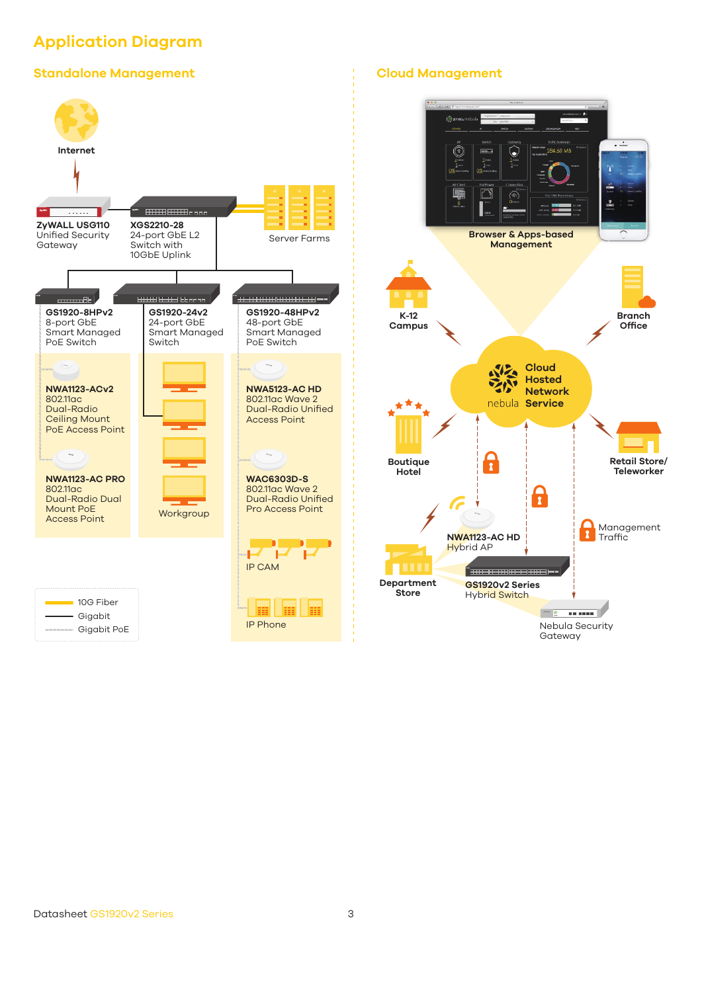## **Application Diagram**

#### **Standalone Management Cloud Management**



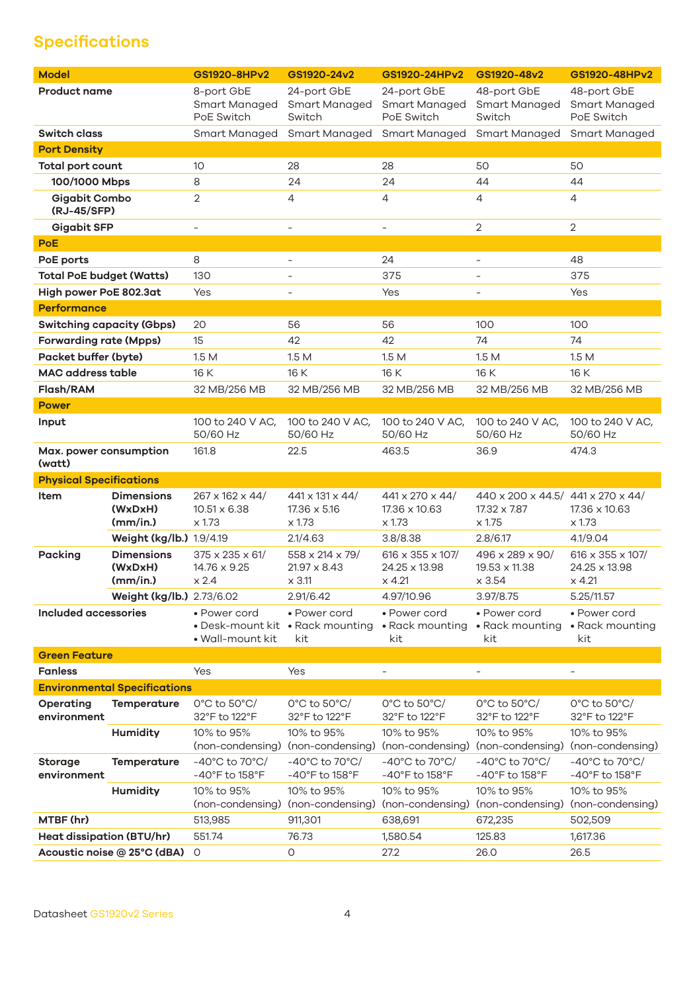## **Specifications**

| <b>Model</b>                        |                                          | GS1920-8HPv2                                                                | GS1920-24v2                                                             | GS1920-24HPv2                                                  | GS1920-48v2                                                                 | GS1920-48HPv2                                          |  |  |  |
|-------------------------------------|------------------------------------------|-----------------------------------------------------------------------------|-------------------------------------------------------------------------|----------------------------------------------------------------|-----------------------------------------------------------------------------|--------------------------------------------------------|--|--|--|
| <b>Product name</b>                 |                                          | 8-port GbE<br>Smart Managed<br>PoE Switch                                   | 24-port GbE<br>Smart Managed<br>Switch                                  | 24-port GbE<br><b>Smart Managed</b><br>PoE Switch              | 48-port GbE<br><b>Smart Managed</b><br>Switch                               | 48-port GbE<br>Smart Managed<br>PoE Switch             |  |  |  |
| <b>Switch class</b>                 |                                          |                                                                             | Smart Managed Smart Managed                                             | Smart Managed                                                  | Smart Managed                                                               | <b>Smart Managed</b>                                   |  |  |  |
| <b>Port Density</b>                 |                                          |                                                                             |                                                                         |                                                                |                                                                             |                                                        |  |  |  |
| Total port count                    |                                          | 10                                                                          | 28                                                                      | 28                                                             | 50                                                                          | 50                                                     |  |  |  |
| 100/1000 Mbps                       |                                          | 8                                                                           | 24                                                                      | 24                                                             | 44                                                                          | 44                                                     |  |  |  |
| <b>Gigabit Combo</b><br>(RJ-45/SFP) |                                          | $\overline{2}$                                                              | $\overline{4}$                                                          | $\overline{4}$                                                 | $\overline{4}$                                                              | 4                                                      |  |  |  |
| <b>Gigabit SFP</b>                  |                                          | $\overline{\phantom{a}}$                                                    | $\equiv$                                                                | $\overline{\phantom{0}}$                                       | $\overline{2}$                                                              | $\overline{2}$                                         |  |  |  |
| <b>PoE</b>                          |                                          |                                                                             |                                                                         |                                                                |                                                                             |                                                        |  |  |  |
| PoE ports                           |                                          | 8                                                                           | $\overline{\phantom{a}}$                                                | 24                                                             | $\overline{\phantom{a}}$                                                    | 48                                                     |  |  |  |
| <b>Total PoE budget (Watts)</b>     |                                          | 130                                                                         | $\overline{\phantom{a}}$                                                | 375                                                            | $\overline{\phantom{0}}$                                                    | 375                                                    |  |  |  |
| High power PoE 802.3at              |                                          | Yes                                                                         | $\overline{\phantom{a}}$                                                | Yes                                                            |                                                                             | Yes                                                    |  |  |  |
| <b>Performance</b>                  |                                          |                                                                             |                                                                         |                                                                |                                                                             |                                                        |  |  |  |
| <b>Switching capacity (Gbps)</b>    |                                          | 20                                                                          | 56                                                                      | 56                                                             | 100                                                                         | 100                                                    |  |  |  |
| <b>Forwarding rate (Mpps)</b>       |                                          | 15                                                                          | 42                                                                      | 42                                                             | 74                                                                          | 74                                                     |  |  |  |
| Packet buffer (byte)                |                                          | 1.5M                                                                        | 1.5M                                                                    | 1.5M                                                           | 1.5M                                                                        | 1.5M                                                   |  |  |  |
| <b>MAC</b> address table            |                                          | 16 K                                                                        | 16 K                                                                    | 16 K                                                           | 16 K                                                                        | 16 K                                                   |  |  |  |
| Flash/RAM                           |                                          | 32 MB/256 MB                                                                | 32 MB/256 MB                                                            | 32 MB/256 MB                                                   | 32 MB/256 MB                                                                | 32 MB/256 MB                                           |  |  |  |
| <b>Power</b>                        |                                          |                                                                             |                                                                         |                                                                |                                                                             |                                                        |  |  |  |
| Input                               |                                          | 100 to 240 V AC,<br>50/60 Hz                                                | 100 to 240 V AC,<br>50/60 Hz                                            | 100 to 240 V AC,<br>50/60 Hz                                   | 100 to 240 V AC,<br>50/60 Hz                                                | 100 to 240 V AC,<br>50/60 Hz                           |  |  |  |
| Max. power consumption<br>(watt)    |                                          | 161.8                                                                       | 22.5                                                                    | 463.5                                                          | 36.9                                                                        | 474.3                                                  |  |  |  |
| <b>Physical Specifications</b>      |                                          |                                                                             |                                                                         |                                                                |                                                                             |                                                        |  |  |  |
| Item                                | <b>Dimensions</b><br>(WxDxH)<br>(mm/in.) | 267 x 162 x 44/<br>$10.51 \times 6.38$<br>$\times$ 1.73                     | 441 x 131 x 44/<br>17.36 x 5.16<br>x 1.73                               | 441 x 270 x 44/<br>17.36 x 10.63<br>x 1.73                     | 440 x 200 x 44.5/ 441 x 270 x 44/<br>17.32 x 7.87<br>x 1.75                 | 17.36 x 10.63<br>x 1.73                                |  |  |  |
|                                     | Weight (kg/lb.) 1.9/4.19                 |                                                                             | 2.1/4.63                                                                | 3.8/8.38                                                       | 2.8/6.17                                                                    | 4.1/9.04                                               |  |  |  |
| Packing                             | <b>Dimensions</b><br>(WxDxH)<br>(mm/in.) | 375 x 235 x 61/<br>14.76 x 9.25<br>$\times 2.4$                             | 558 x 214 x 79/<br>$21.97 \times 8.43$<br>$\times$ 3.11                 | 616 x 355 x 107/<br>24.25 x 13.98<br>$\times$ 4.21             | 496 x 289 x 90/<br>19.53 x 11.38<br>x 3.54                                  | 616 x 355 x 107/<br>24.25 x 13.98<br>$\times$ 4.21     |  |  |  |
|                                     | Weight (kg/lb.) 2.73/6.02                |                                                                             | 2.91/6.42                                                               | 4.97/10.96                                                     | 3.97/8.75                                                                   | 5.25/11.57                                             |  |  |  |
| Included accessories                |                                          | • Power cord<br>• Wall-mount kit                                            | • Power cord<br>• Desk-mount kit • Rack mounting • Rack mounting<br>kit | • Power cord<br>kit                                            | • Power cord<br>• Rack mounting<br>kit                                      | • Power cord<br>• Rack mounting<br>kit                 |  |  |  |
| <b>Green Feature</b>                |                                          |                                                                             |                                                                         |                                                                |                                                                             |                                                        |  |  |  |
| <b>Fanless</b>                      |                                          | Yes                                                                         | Yes                                                                     | ÷,                                                             | $\overline{\phantom{a}}$                                                    | $\overline{\phantom{0}}$                               |  |  |  |
|                                     | <b>Environmental Specifications</b>      |                                                                             |                                                                         |                                                                |                                                                             |                                                        |  |  |  |
| Operating<br>environment            | <b>Temperature</b>                       | $0^{\circ}$ C to 50 $^{\circ}$ C/<br>32°F to 122°F                          | $0^{\circ}$ C to 50 $^{\circ}$ C/<br>32°F to 122°F                      | 0°C to 50°C/<br>32°F to 122°F                                  | $0^{\circ}$ C to 50 $^{\circ}$ C/<br>32°F to 122°F                          | 0°C to 50°C/<br>32°F to 122°F                          |  |  |  |
|                                     | <b>Humidity</b>                          | 10% to 95%<br>(non-condensing)                                              | 10% to 95%<br>(non-condensing) (non-condensing)                         | 10% to 95%                                                     | 10% to 95%<br>(non-condensing)                                              | 10% to 95%<br>(non-condensing)                         |  |  |  |
| <b>Storage</b><br>environment       | <b>Temperature</b>                       | -40 $^{\circ}$ C to 70 $^{\circ}$ C/<br>$-40^{\circ}$ F to 158 $^{\circ}$ F | -40 $^{\circ}$ C to 70 $^{\circ}$ C/<br>-40°F to 158°F                  | -40 $^{\circ}$ C to 70 $^{\circ}$ C/<br>$-40^\circ$ F to 158°F | -40 $^{\circ}$ C to 70 $^{\circ}$ C/<br>$-40^{\circ}$ F to 158 $^{\circ}$ F | -40 $^{\circ}$ C to 70 $^{\circ}$ C/<br>-40°F to 158°F |  |  |  |
|                                     | Humidity                                 | 10% to 95%                                                                  | 10% to 95%<br>(non-condensing) (non-condensing) (non-condensing)        | 10% to 95%                                                     | 10% to 95%<br>(non-condensing)                                              | 10% to 95%<br>(non-condensing)                         |  |  |  |
| MTBF (hr)                           |                                          | 513,985                                                                     | 911,301                                                                 | 638,691                                                        | 672,235                                                                     | 502,509                                                |  |  |  |
| <b>Heat dissipation (BTU/hr)</b>    |                                          | 551.74                                                                      | 76.73                                                                   | 1,580.54                                                       | 125.83                                                                      | 1,617.36                                               |  |  |  |
| Acoustic noise @ 25°C (dBA)         |                                          | 0                                                                           | O                                                                       | 27.2                                                           | 26.0                                                                        | 26.5                                                   |  |  |  |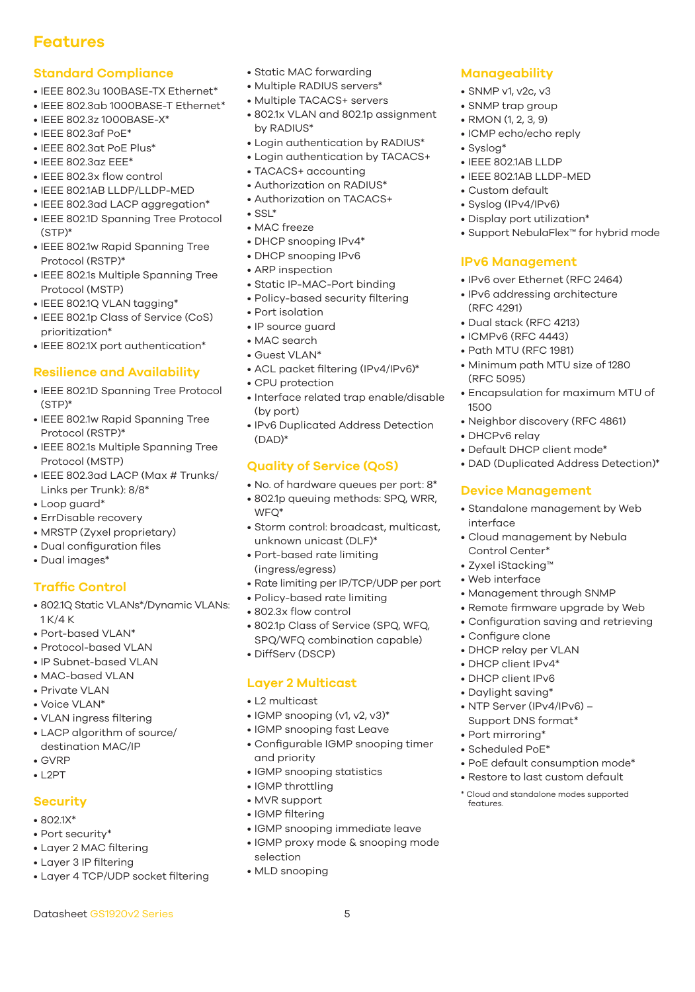## **Features**

#### **Standard Compliance**

- IEEE 802.3u 100BASE-TX Ethernet\*
- IEEE 802.3ab 1000BASE-T Ethernet\*
- IEEE 802.3z 1000BASE-X\*
- IEEE 802.3af PoE\*
- IEEE 802.3at PoE Plus\*
- IEEE 802.3az EEE\*
- IEEE 802.3x flow control
- IEEE 802.1AB LLDP/LLDP-MED
- IEEE 802.3ad LACP aggregation\*
- IEEE 802.1D Spanning Tree Protocol (STP)\*
- IEEE 802.1w Rapid Spanning Tree Protocol (RSTP)\*
- IEEE 802.1s Multiple Spanning Tree Protocol (MSTP)
- IEEE 802.1Q VLAN tagging\*
- IEEE 802.1p Class of Service (CoS) prioritization\*
- IEEE 802.1X port authentication\*

#### **Resilience and Availability**

- IEEE 802.1D Spanning Tree Protocol (STP)\*
- IEEE 802.1w Rapid Spanning Tree Protocol (RSTP)\*
- IEEE 802.1s Multiple Spanning Tree Protocol (MSTP)
- IEEE 802.3ad LACP (Max # Trunks/ Links per Trunk): 8/8\*
- Loop guard\*
- ErrDisable recovery
- MRSTP (Zyxel proprietary)
- Dual configuration files
- Dual images\*

### **Traffic Control**

- 802.1Q Static VLANs\*/Dynamic VLANs: 1 K/4 K
- Port-based VI AN\*
- Protocol-based VLAN
- IP Subnet-based VLAN
- MAC-based VLAN
- Private VLAN
- Voice VLAN\*
- VLAN ingress filtering
- LACP algorithm of source/ destination MAC/IP
- GVRP
- $\bullet$  L2PT

#### **Security**

- 802.1X\*
- Port security\*
- Layer 2 MAC filtering
- Layer 3 IP filtering
- Layer 4 TCP/UDP socket filtering

Datasheet GS1920v2 Series 5

- Static MAC forwarding
- Multiple RADIUS servers\*
- Multiple TACACS+ servers
- 802.1x VLAN and 802.1p assignment by RADIUS\*
- Login authentication by RADIUS\*
- Login authentication by TACACS+
- TACACS+ accounting
- Authorization on RADIUS\*
- Authorization on TACACS+
- $\bullet$  SSL\*
- MAC freeze
- DHCP snooping IPv4\*
- DHCP snooping IPv6
- ARP inspection
- Static IP-MAC-Port binding
- Policy-based security filtering
- Port isolation
- IP source guard
- MAC search
- Guest VLAN\*
- ACL packet filtering (IPv4/IPv6)\*
- CPU protection
- Interface related trap enable/disable (by port)
- IPv6 Duplicated Address Detection (DAD)\*

#### **Quality of Service (QoS)**

- No. of hardware queues per port: 8\*
- 802.1p queuing methods: SPQ, WRR, WFQ\*
- Storm control: broadcast, multicast, unknown unicast (DLF)\*
- Port-based rate limiting (ingress/egress)
- Rate limiting per IP/TCP/UDP per port
- Policy-based rate limiting
- 802.3x flow control
- 802.1p Class of Service (SPQ, WFQ, SPQ/WFQ combination capable)
- DiffServ (DSCP)

#### **Layer 2 Multicast**

- L2 multicast
- IGMP snooping (v1, v2, v3)\*
- IGMP snooping fast Leave
- Configurable IGMP snooping timer and priority
- IGMP snooping statistics
- IGMP throttling
- MVR support
- IGMP filtering
- IGMP snooping immediate leave
- IGMP proxy mode & snooping mode selection
- MLD snooping

#### **Manageability**

- SNMP v1, v2c, v3
- SNMP trap group
- RMON (1, 2, 3, 9)
- ICMP echo/echo reply
- Syslog\*
- IEEE 802.1AB LLDP
- IEEE 802.1AB LLDP-MED

• Display port utilization\*

**IPv6 Management**

• Dual stack (RFC 4213) • ICMPv6 (RFC 4443) • Path MTU (RFC 1981)

(RFC 4291)

(RFC 5095)

• DHCPv6 relay

interface

Control Center\* • Zyxel iStacking™ • Web interface

• Configure clone • DHCP relay per VLAN • DHCP client IPv4\* • DHCP client IPv6 • Daylight saving\*

• Port mirroring\* • Scheduled PoE\*

features.

1500

• IPv6 over Ethernet (RFC 2464) • IPv6 addressing architecture

• Minimum path MTU size of 1280

• Neighbor discovery (RFC 4861)

• Default DHCP client mode\*

**Device Management**

• Encapsulation for maximum MTU of

• DAD (Duplicated Address Detection)\*

• Standalone management by Web

• Cloud management by Nebula

• Management through SNMP • Remote firmware upgrade by Web • Configuration saving and retrieving

• NTP Server (IPv4/IPv6) – Support DNS format\*

• PoE default consumption mode\* • Restore to last custom default \* Cloud and standalone modes supported

• Support NebulaFlex™ for hybrid mode

• Custom default • Syslog (IPv4/IPv6)